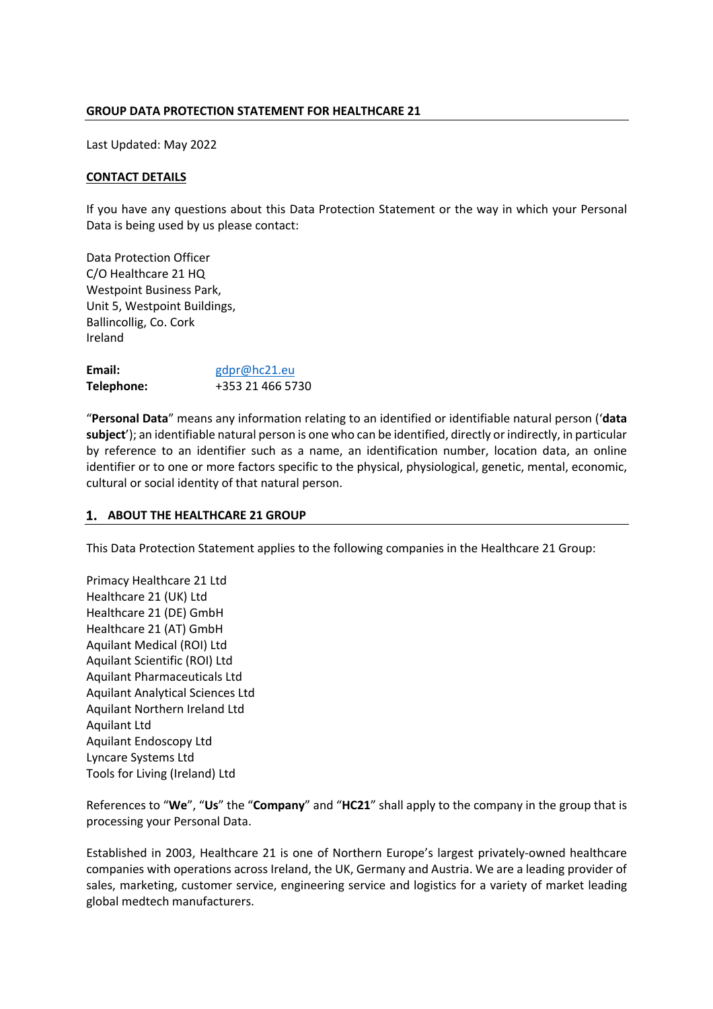### **GROUP DATA PROTECTION STATEMENT FOR HEALTHCARE 21**

Last Updated: May 2022

### **CONTACT DETAILS**

If you have any questions about this Data Protection Statement or the way in which your Personal Data is being used by us please contact:

Data Protection Officer C/O Healthcare 21 HQ Westpoint Business Park, Unit 5, Westpoint Buildings, Ballincollig, Co. Cork Ireland

| Email:     | gdpr@hc21.eu     |
|------------|------------------|
| Telephone: | +353 21 466 5730 |

"**Personal Data**" means any information relating to an identified or identifiable natural person ('**data subject**'); an identifiable natural person is one who can be identified, directly or indirectly, in particular by reference to an identifier such as a name, an identification number, location data, an online identifier or to one or more factors specific to the physical, physiological, genetic, mental, economic, cultural or social identity of that natural person.

### **ABOUT THE HEALTHCARE 21 GROUP**

This Data Protection Statement applies to the following companies in the Healthcare 21 Group:

Primacy Healthcare 21 Ltd Healthcare 21 (UK) Ltd Healthcare 21 (DE) GmbH Healthcare 21 (AT) GmbH Aquilant Medical (ROI) Ltd Aquilant Scientific (ROI) Ltd Aquilant Pharmaceuticals Ltd Aquilant Analytical Sciences Ltd Aquilant Northern Ireland Ltd Aquilant Ltd Aquilant Endoscopy Ltd Lyncare Systems Ltd Tools for Living (Ireland) Ltd

References to "**We**", "**Us**" the "**Company**" and "**HC21**" shall apply to the company in the group that is processing your Personal Data.

Established in 2003, Healthcare 21 is one of Northern Europe's largest privately-owned healthcare companies with operations across Ireland, the UK, Germany and Austria. We are a leading provider of sales, marketing, customer service, engineering service and logistics for a variety of market leading global medtech manufacturers.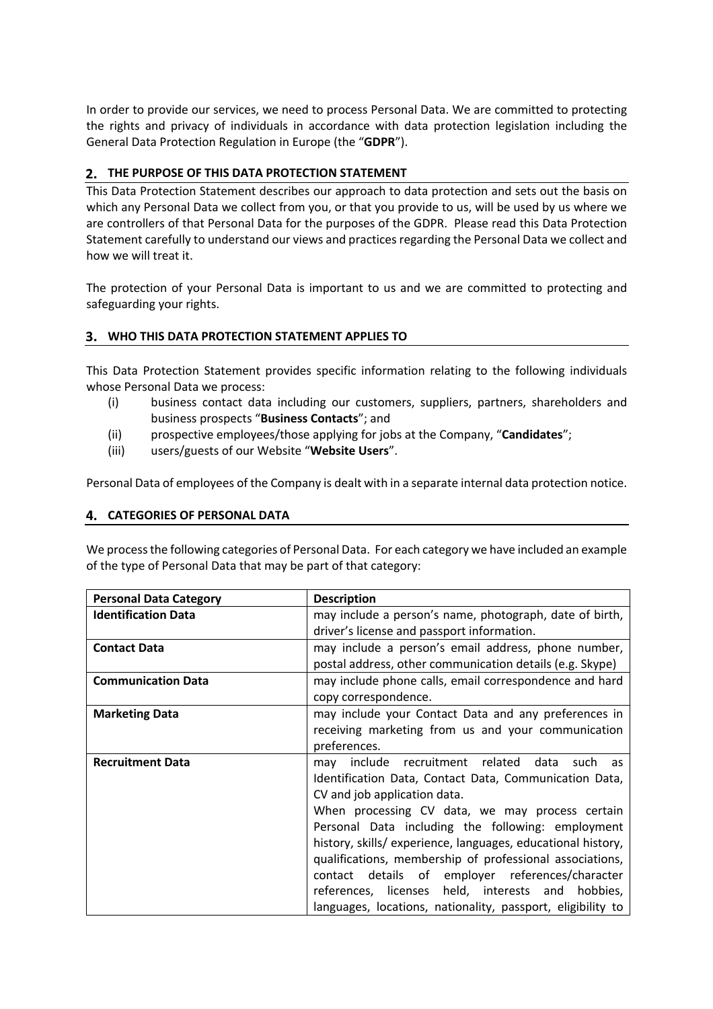In order to provide our services, we need to process Personal Data. We are committed to protecting the rights and privacy of individuals in accordance with data protection legislation including the General Data Protection Regulation in Europe (the "**GDPR**").

# **THE PURPOSE OF THIS DATA PROTECTION STATEMENT**

This Data Protection Statement describes our approach to data protection and sets out the basis on which any Personal Data we collect from you, or that you provide to us, will be used by us where we are controllers of that Personal Data for the purposes of the GDPR. Please read this Data Protection Statement carefully to understand our views and practices regarding the Personal Data we collect and how we will treat it.

The protection of your Personal Data is important to us and we are committed to protecting and safeguarding your rights.

# **WHO THIS DATA PROTECTION STATEMENT APPLIES TO**

This Data Protection Statement provides specific information relating to the following individuals whose Personal Data we process:

- (i) business contact data including our customers, suppliers, partners, shareholders and business prospects "**Business Contacts**"; and
- (ii) prospective employees/those applying for jobs at the Company, "**Candidates**";
- (iii) users/guests of our Website "**Website Users**".

Personal Data of employees of the Company is dealt with in a separate internal data protection notice.

### **CATEGORIES OF PERSONAL DATA**

We process the following categories of Personal Data. For each category we have included an example of the type of Personal Data that may be part of that category:

| <b>Personal Data Category</b> | <b>Description</b>                                           |  |
|-------------------------------|--------------------------------------------------------------|--|
| <b>Identification Data</b>    | may include a person's name, photograph, date of birth,      |  |
|                               | driver's license and passport information.                   |  |
| <b>Contact Data</b>           | may include a person's email address, phone number,          |  |
|                               | postal address, other communication details (e.g. Skype)     |  |
| <b>Communication Data</b>     | may include phone calls, email correspondence and hard       |  |
|                               | copy correspondence.                                         |  |
| <b>Marketing Data</b>         | may include your Contact Data and any preferences in         |  |
|                               | receiving marketing from us and your communication           |  |
|                               | preferences.                                                 |  |
| <b>Recruitment Data</b>       | may include recruitment related data<br>such as              |  |
|                               | Identification Data, Contact Data, Communication Data,       |  |
|                               | CV and job application data.                                 |  |
|                               | When processing CV data, we may process certain              |  |
|                               | Personal Data including the following: employment            |  |
|                               | history, skills/ experience, languages, educational history, |  |
|                               | qualifications, membership of professional associations,     |  |
|                               | contact details of employer references/character             |  |
|                               | references, licenses held, interests and hobbies,            |  |
|                               | languages, locations, nationality, passport, eligibility to  |  |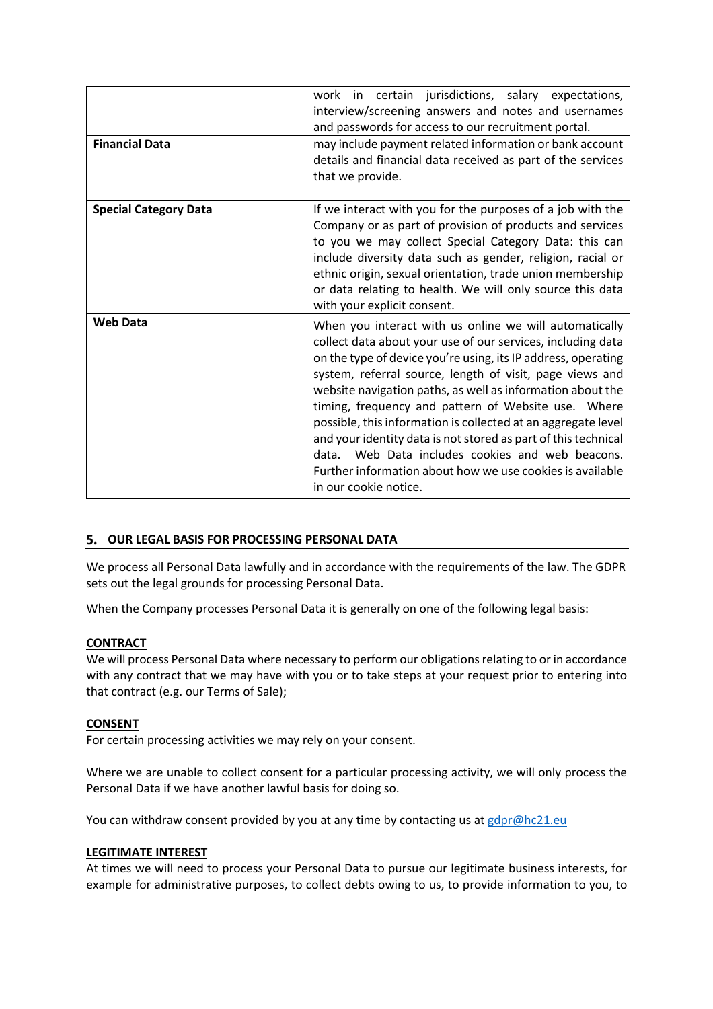| <b>Financial Data</b>        | work in certain jurisdictions, salary expectations,<br>interview/screening answers and notes and usernames<br>and passwords for access to our recruitment portal.<br>may include payment related information or bank account<br>details and financial data received as part of the services<br>that we provide.                                                                                                                                                                                                                                                                                                                                      |
|------------------------------|------------------------------------------------------------------------------------------------------------------------------------------------------------------------------------------------------------------------------------------------------------------------------------------------------------------------------------------------------------------------------------------------------------------------------------------------------------------------------------------------------------------------------------------------------------------------------------------------------------------------------------------------------|
| <b>Special Category Data</b> | If we interact with you for the purposes of a job with the<br>Company or as part of provision of products and services<br>to you we may collect Special Category Data: this can<br>include diversity data such as gender, religion, racial or<br>ethnic origin, sexual orientation, trade union membership<br>or data relating to health. We will only source this data<br>with your explicit consent.                                                                                                                                                                                                                                               |
| <b>Web Data</b>              | When you interact with us online we will automatically<br>collect data about your use of our services, including data<br>on the type of device you're using, its IP address, operating<br>system, referral source, length of visit, page views and<br>website navigation paths, as well as information about the<br>timing, frequency and pattern of Website use. Where<br>possible, this information is collected at an aggregate level<br>and your identity data is not stored as part of this technical<br>data. Web Data includes cookies and web beacons.<br>Further information about how we use cookies is available<br>in our cookie notice. |

# **OUR LEGAL BASIS FOR PROCESSING PERSONAL DATA**

We process all Personal Data lawfully and in accordance with the requirements of the law. The GDPR sets out the legal grounds for processing Personal Data.

When the Company processes Personal Data it is generally on one of the following legal basis:

### **CONTRACT**

We will process Personal Data where necessary to perform our obligations relating to or in accordance with any contract that we may have with you or to take steps at your request prior to entering into that contract (e.g. our Terms of Sale);

### **CONSENT**

For certain processing activities we may rely on your consent.

Where we are unable to collect consent for a particular processing activity, we will only process the Personal Data if we have another lawful basis for doing so.

You can withdraw consent provided by you at any time by contacting us at gdpr@hc21.eu

### **LEGITIMATE INTEREST**

At times we will need to process your Personal Data to pursue our legitimate business interests, for example for administrative purposes, to collect debts owing to us, to provide information to you, to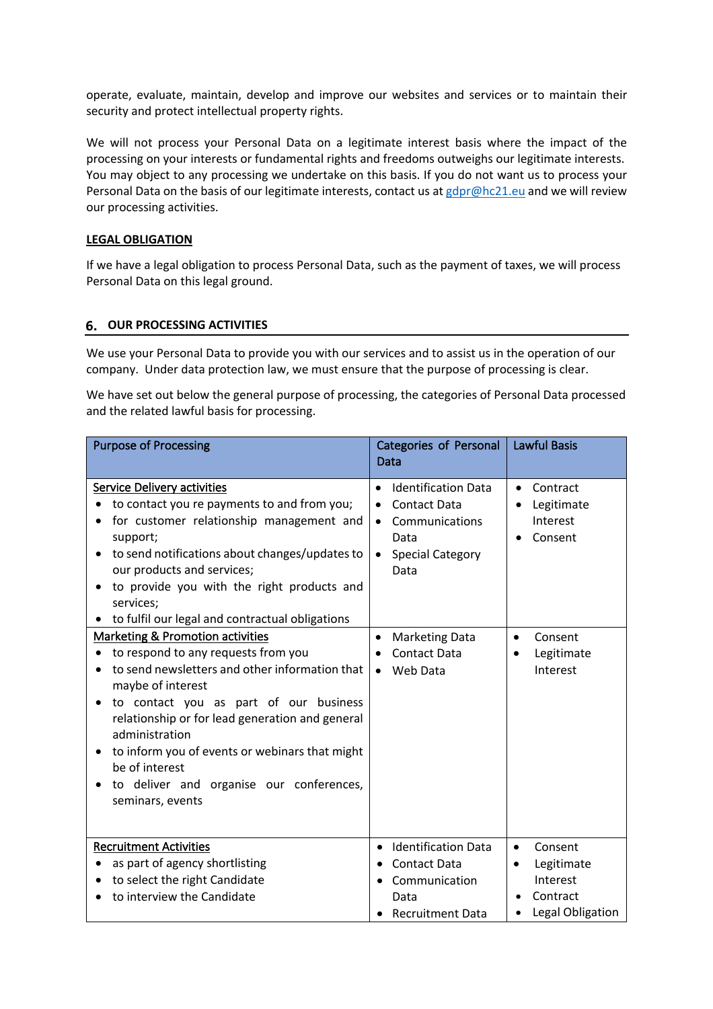operate, evaluate, maintain, develop and improve our websites and services or to maintain their security and protect intellectual property rights.

We will not process your Personal Data on a legitimate interest basis where the impact of the processing on your interests or fundamental rights and freedoms outweighs our legitimate interests. You may object to any processing we undertake on this basis. If you do not want us to process your Personal Data on the basis of our legitimate interests, contact us at gdpr@hc21.eu and we will review our processing activities.

#### **LEGAL OBLIGATION**

If we have a legal obligation to process Personal Data, such as the payment of taxes, we will process Personal Data on this legal ground.

#### **OUR PROCESSING ACTIVITIES**

We use your Personal Data to provide you with our services and to assist us in the operation of our company. Under data protection law, we must ensure that the purpose of processing is clear.

We have set out below the general purpose of processing, the categories of Personal Data processed and the related lawful basis for processing.

| <b>Purpose of Processing</b>                                                                                                                                                                                                                                                                                                                                                                      | <b>Categories of Personal</b><br>Data                                                                                                                      | <b>Lawful Basis</b>                                                                         |
|---------------------------------------------------------------------------------------------------------------------------------------------------------------------------------------------------------------------------------------------------------------------------------------------------------------------------------------------------------------------------------------------------|------------------------------------------------------------------------------------------------------------------------------------------------------------|---------------------------------------------------------------------------------------------|
| Service Delivery activities<br>to contact you re payments to and from you;<br>for customer relationship management and<br>support;<br>to send notifications about changes/updates to<br>our products and services;<br>to provide you with the right products and<br>services;<br>to fulfil our legal and contractual obligations                                                                  | <b>Identification Data</b><br>$\bullet$<br><b>Contact Data</b><br>٠<br>Communications<br>$\bullet$<br>Data<br><b>Special Category</b><br>$\bullet$<br>Data | Contract<br>Legitimate<br>Interest<br>Consent                                               |
| Marketing & Promotion activities<br>to respond to any requests from you<br>to send newsletters and other information that<br>maybe of interest<br>to contact you as part of our business<br>relationship or for lead generation and general<br>administration<br>to inform you of events or webinars that might<br>be of interest<br>to deliver and organise our conferences,<br>seminars, events | <b>Marketing Data</b><br>$\bullet$<br><b>Contact Data</b><br>Web Data<br>$\bullet$                                                                         | Consent<br>$\bullet$<br>Legitimate<br>Interest                                              |
| <b>Recruitment Activities</b><br>as part of agency shortlisting<br>to select the right Candidate<br>to interview the Candidate                                                                                                                                                                                                                                                                    | <b>Identification Data</b><br>$\bullet$<br><b>Contact Data</b><br>$\bullet$<br>Communication<br>Data<br><b>Recruitment Data</b>                            | Consent<br>$\bullet$<br>Legitimate<br>$\bullet$<br>Interest<br>Contract<br>Legal Obligation |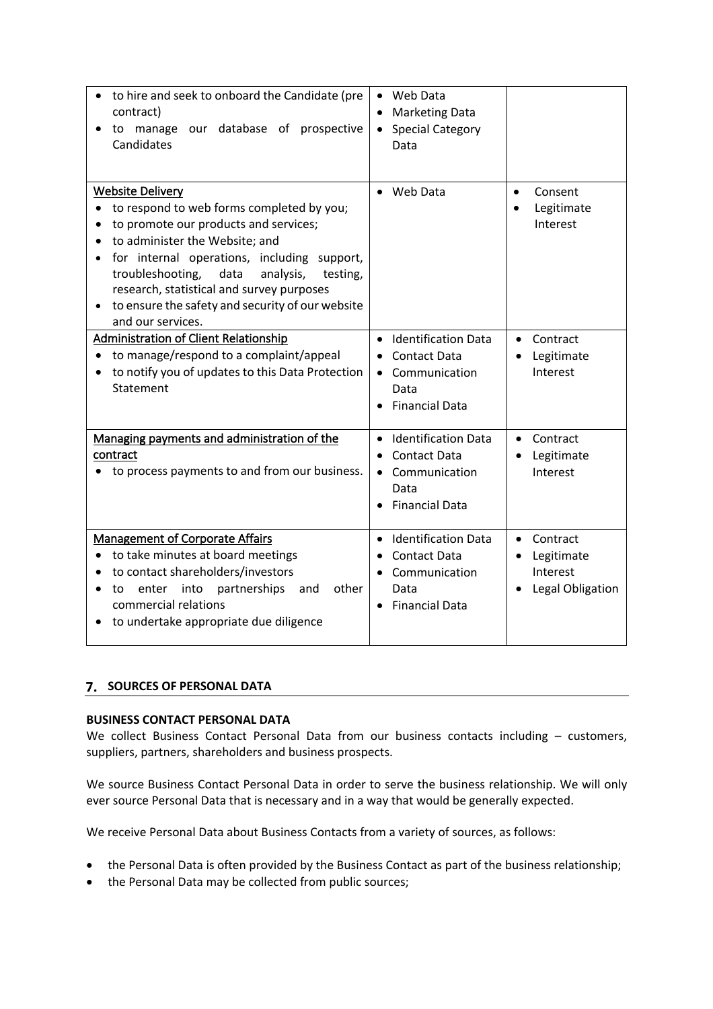| to hire and seek to onboard the Candidate (pre<br>contract)<br>manage our database of prospective<br>to<br>Candidates                                                                                                                                                                                                                                                     | • Web Data<br><b>Marketing Data</b><br>$\bullet$<br><b>Special Category</b><br>$\bullet$<br>Data                                |                                                                     |
|---------------------------------------------------------------------------------------------------------------------------------------------------------------------------------------------------------------------------------------------------------------------------------------------------------------------------------------------------------------------------|---------------------------------------------------------------------------------------------------------------------------------|---------------------------------------------------------------------|
| <b>Website Delivery</b><br>to respond to web forms completed by you;<br>to promote our products and services;<br>to administer the Website; and<br>for internal operations, including support,<br>analysis,<br>troubleshooting,<br>data<br>testing,<br>research, statistical and survey purposes<br>to ensure the safety and security of our website<br>and our services. | Web Data<br>$\bullet$                                                                                                           | Consent<br>$\bullet$<br>Legitimate<br>Interest                      |
| <b>Administration of Client Relationship</b><br>to manage/respond to a complaint/appeal<br>to notify you of updates to this Data Protection<br>Statement                                                                                                                                                                                                                  | <b>Identification Data</b><br>$\bullet$<br><b>Contact Data</b><br>$\bullet$<br>• Communication<br>Data<br><b>Financial Data</b> | Contract<br>$\bullet$<br>Legitimate<br>Interest                     |
| Managing payments and administration of the<br>contract<br>to process payments to and from our business.                                                                                                                                                                                                                                                                  | <b>Identification Data</b><br>$\bullet$<br><b>Contact Data</b><br>$\bullet$<br>• Communication<br>Data<br><b>Financial Data</b> | Contract<br>$\bullet$<br>Legitimate<br>Interest                     |
| <b>Management of Corporate Affairs</b><br>to take minutes at board meetings<br>to contact shareholders/investors<br>enter<br>into<br>partnerships<br>other<br>and<br>to<br>commercial relations<br>to undertake appropriate due diligence                                                                                                                                 | <b>Identification Data</b><br>$\bullet$<br><b>Contact Data</b><br>Communication<br>Data<br><b>Financial Data</b>                | Contract<br>$\bullet$<br>Legitimate<br>Interest<br>Legal Obligation |

# **7. SOURCES OF PERSONAL DATA**

### **BUSINESS CONTACT PERSONAL DATA**

We collect Business Contact Personal Data from our business contacts including – customers, suppliers, partners, shareholders and business prospects.

We source Business Contact Personal Data in order to serve the business relationship. We will only ever source Personal Data that is necessary and in a way that would be generally expected.

We receive Personal Data about Business Contacts from a variety of sources, as follows:

- the Personal Data is often provided by the Business Contact as part of the business relationship;
- the Personal Data may be collected from public sources;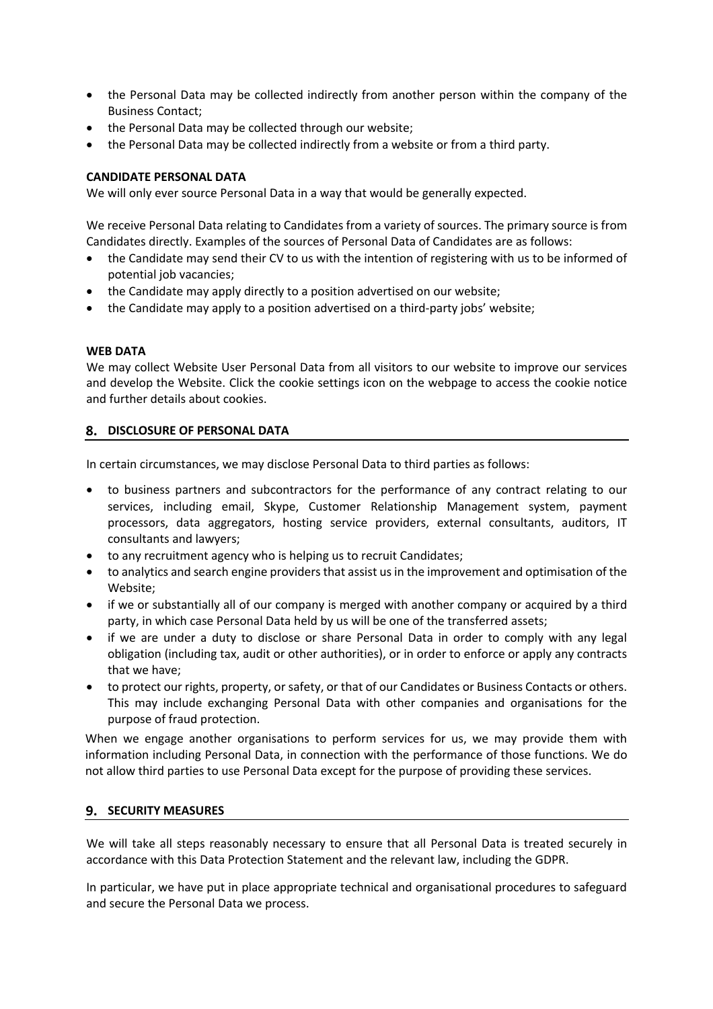- the Personal Data may be collected indirectly from another person within the company of the Business Contact;
- the Personal Data may be collected through our website;
- the Personal Data may be collected indirectly from a website or from a third party.

# **CANDIDATE PERSONAL DATA**

We will only ever source Personal Data in a way that would be generally expected.

We receive Personal Data relating to Candidates from a variety of sources. The primary source is from Candidates directly. Examples of the sources of Personal Data of Candidates are as follows:

- the Candidate may send their CV to us with the intention of registering with us to be informed of potential job vacancies;
- the Candidate may apply directly to a position advertised on our website;
- the Candidate may apply to a position advertised on a third-party jobs' website;

### **WEB DATA**

We may collect Website User Personal Data from all visitors to our website to improve our services and develop the Website. Click the cookie settings icon on the webpage to access the cookie notice and further details about cookies.

# **DISCLOSURE OF PERSONAL DATA**

In certain circumstances, we may disclose Personal Data to third parties as follows:

- to business partners and subcontractors for the performance of any contract relating to our services, including email, Skype, Customer Relationship Management system, payment processors, data aggregators, hosting service providers, external consultants, auditors, IT consultants and lawyers;
- to any recruitment agency who is helping us to recruit Candidates;
- to analytics and search engine providers that assist us in the improvement and optimisation of the Website;
- if we or substantially all of our company is merged with another company or acquired by a third party, in which case Personal Data held by us will be one of the transferred assets;
- if we are under a duty to disclose or share Personal Data in order to comply with any legal obligation (including tax, audit or other authorities), or in order to enforce or apply any contracts that we have;
- to protect our rights, property, or safety, or that of our Candidates or Business Contacts or others. This may include exchanging Personal Data with other companies and organisations for the purpose of fraud protection.

When we engage another organisations to perform services for us, we may provide them with information including Personal Data, in connection with the performance of those functions. We do not allow third parties to use Personal Data except for the purpose of providing these services.

### **9. SECURITY MEASURES**

We will take all steps reasonably necessary to ensure that all Personal Data is treated securely in accordance with this Data Protection Statement and the relevant law, including the GDPR.

In particular, we have put in place appropriate technical and organisational procedures to safeguard and secure the Personal Data we process.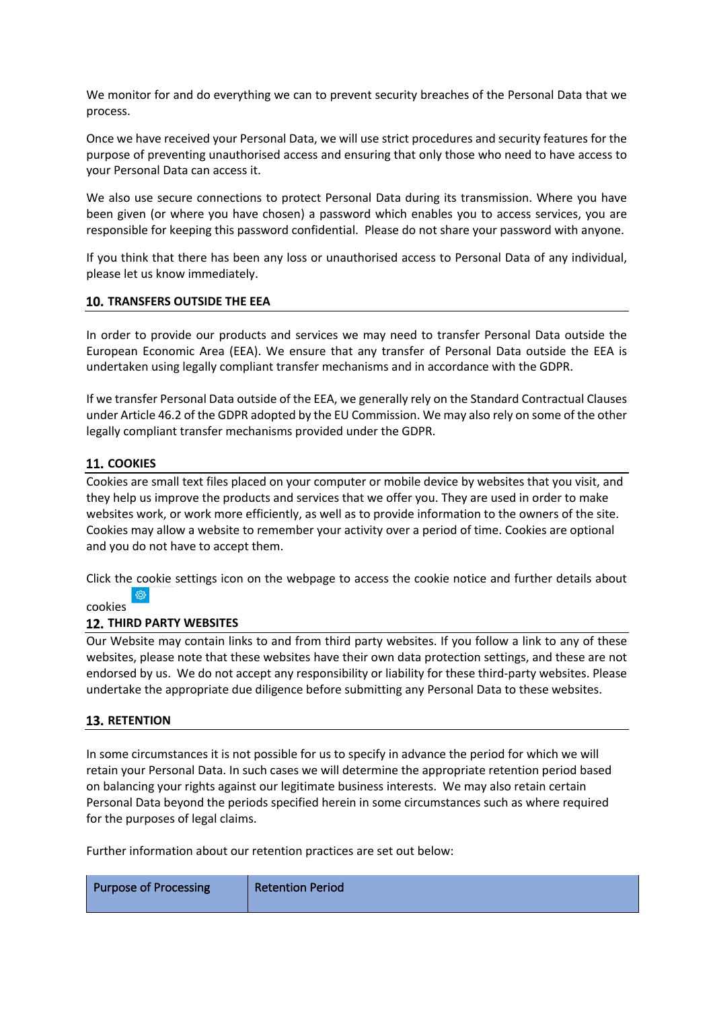We monitor for and do everything we can to prevent security breaches of the Personal Data that we process.

Once we have received your Personal Data, we will use strict procedures and security features for the purpose of preventing unauthorised access and ensuring that only those who need to have access to your Personal Data can access it.

We also use secure connections to protect Personal Data during its transmission. Where you have been given (or where you have chosen) a password which enables you to access services, you are responsible for keeping this password confidential. Please do not share your password with anyone.

If you think that there has been any loss or unauthorised access to Personal Data of any individual, please let us know immediately.

### **TRANSFERS OUTSIDE THE EEA**

In order to provide our products and services we may need to transfer Personal Data outside the European Economic Area (EEA). We ensure that any transfer of Personal Data outside the EEA is undertaken using legally compliant transfer mechanisms and in accordance with the GDPR.

If we transfer Personal Data outside of the EEA, we generally rely on the Standard Contractual Clauses under Article 46.2 of the GDPR adopted by the EU Commission. We may also rely on some of the other legally compliant transfer mechanisms provided under the GDPR.

# **11. COOKIES**

Cookies are small text files placed on your computer or mobile device by websites that you visit, and they help us improve the products and services that we offer you. They are used in order to make websites work, or work more efficiently, as well as to provide information to the owners of the site. Cookies may allow a website to remember your activity over a period of time. Cookies are optional and you do not have to accept them.

Click the cookie settings icon on the webpage to access the cookie notice and further details about දසු

### cookies

### **12. THIRD PARTY WEBSITES**

Our Website may contain links to and from third party websites. If you follow a link to any of these websites, please note that these websites have their own data protection settings, and these are not endorsed by us. We do not accept any responsibility or liability for these third-party websites. Please undertake the appropriate due diligence before submitting any Personal Data to these websites.

### **13. RETENTION**

In some circumstances it is not possible for us to specify in advance the period for which we will retain your Personal Data. In such cases we will determine the appropriate retention period based on balancing your rights against our legitimate business interests. We may also retain certain Personal Data beyond the periods specified herein in some circumstances such as where required for the purposes of legal claims.

Further information about our retention practices are set out below:

| Purpose of Processing | <b>Retention Period</b> |
|-----------------------|-------------------------|
|                       |                         |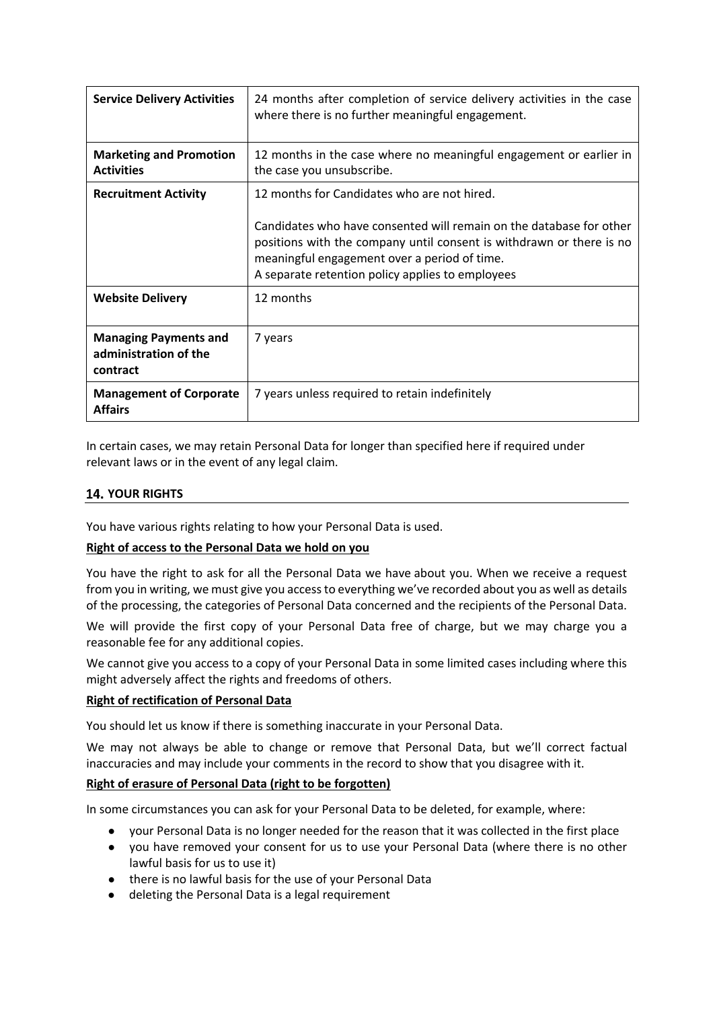| <b>Service Delivery Activities</b>                                | 24 months after completion of service delivery activities in the case<br>where there is no further meaningful engagement.                                                                                                                                                                      |
|-------------------------------------------------------------------|------------------------------------------------------------------------------------------------------------------------------------------------------------------------------------------------------------------------------------------------------------------------------------------------|
| <b>Marketing and Promotion</b><br><b>Activities</b>               | 12 months in the case where no meaningful engagement or earlier in<br>the case you unsubscribe.                                                                                                                                                                                                |
| <b>Recruitment Activity</b>                                       | 12 months for Candidates who are not hired.<br>Candidates who have consented will remain on the database for other<br>positions with the company until consent is withdrawn or there is no<br>meaningful engagement over a period of time.<br>A separate retention policy applies to employees |
| <b>Website Delivery</b>                                           | 12 months                                                                                                                                                                                                                                                                                      |
| <b>Managing Payments and</b><br>administration of the<br>contract | 7 years                                                                                                                                                                                                                                                                                        |
| <b>Management of Corporate</b><br><b>Affairs</b>                  | 7 years unless required to retain indefinitely                                                                                                                                                                                                                                                 |

In certain cases, we may retain Personal Data for longer than specified here if required under relevant laws or in the event of any legal claim.

# **14. YOUR RIGHTS**

You have various rights relating to how your Personal Data is used.

### **Right of access to the Personal Data we hold on you**

You have the right to ask for all the Personal Data we have about you. When we receive a request from you in writing, we must give you access to everything we've recorded about you as well as details of the processing, the categories of Personal Data concerned and the recipients of the Personal Data.

We will provide the first copy of your Personal Data free of charge, but we may charge you a reasonable fee for any additional copies.

We cannot give you access to a copy of your Personal Data in some limited cases including where this might adversely affect the rights and freedoms of others.

### **Right of rectification of Personal Data**

You should let us know if there is something inaccurate in your Personal Data.

We may not always be able to change or remove that Personal Data, but we'll correct factual inaccuracies and may include your comments in the record to show that you disagree with it.

### **Right of erasure of Personal Data (right to be forgotten)**

In some circumstances you can ask for your Personal Data to be deleted, for example, where:

- your Personal Data is no longer needed for the reason that it was collected in the first place
- you have removed your consent for us to use your Personal Data (where there is no other lawful basis for us to use it)
- there is no lawful basis for the use of your Personal Data
- deleting the Personal Data is a legal requirement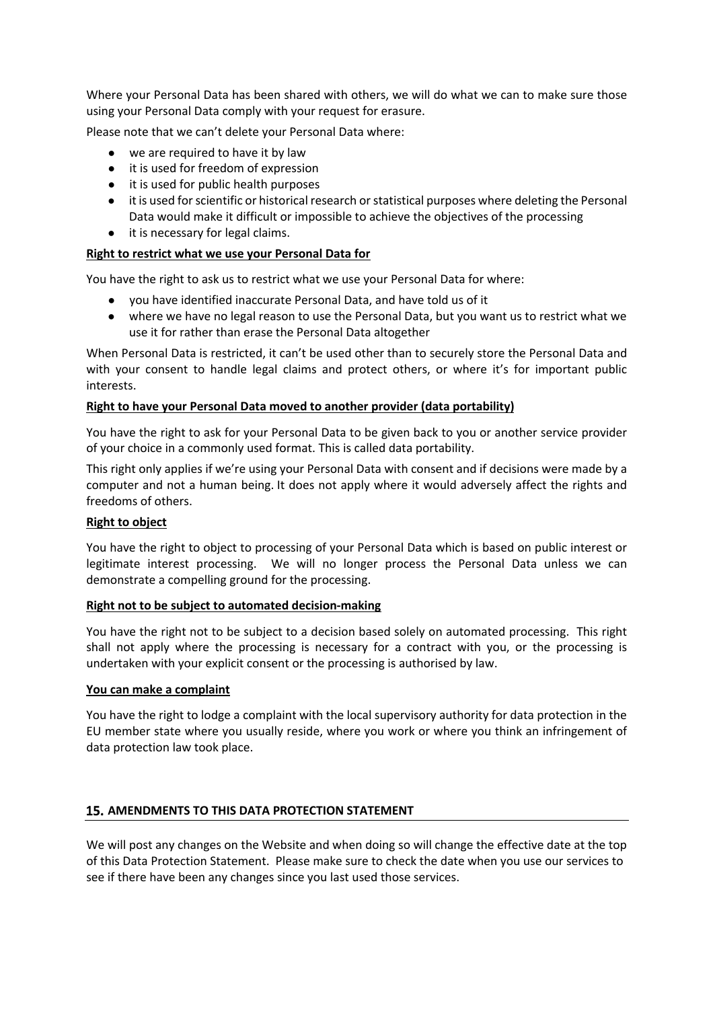Where your Personal Data has been shared with others, we will do what we can to make sure those using your Personal Data comply with your request for erasure.

Please note that we can't delete your Personal Data where:

- we are required to have it by law
- it is used for freedom of expression
- it is used for public health purposes
- it is used for scientific or historical research or statistical purposes where deleting the Personal Data would make it difficult or impossible to achieve the objectives of the processing
- it is necessary for legal claims.

### **Right to restrict what we use your Personal Data for**

You have the right to ask us to restrict what we use your Personal Data for where:

- you have identified inaccurate Personal Data, and have told us of it
- where we have no legal reason to use the Personal Data, but you want us to restrict what we use it for rather than erase the Personal Data altogether

When Personal Data is restricted, it can't be used other than to securely store the Personal Data and with your consent to handle legal claims and protect others, or where it's for important public interests.

### **Right to have your Personal Data moved to another provider (data portability)**

You have the right to ask for your Personal Data to be given back to you or another service provider of your choice in a commonly used format. This is called data portability.

This right only applies if we're using your Personal Data with consent and if decisions were made by a computer and not a human being. It does not apply where it would adversely affect the rights and freedoms of others.

### **Right to object**

You have the right to object to processing of your Personal Data which is based on public interest or legitimate interest processing. We will no longer process the Personal Data unless we can demonstrate a compelling ground for the processing.

### **Right not to be subject to automated decision-making**

You have the right not to be subject to a decision based solely on automated processing. This right shall not apply where the processing is necessary for a contract with you, or the processing is undertaken with your explicit consent or the processing is authorised by law.

### **You can make a complaint**

You have the right to lodge a complaint with the local supervisory authority for data protection in the EU member state where you usually reside, where you work or where you think an infringement of data protection law took place.

### **AMENDMENTS TO THIS DATA PROTECTION STATEMENT**

We will post any changes on the Website and when doing so will change the effective date at the top of this Data Protection Statement. Please make sure to check the date when you use our services to see if there have been any changes since you last used those services.